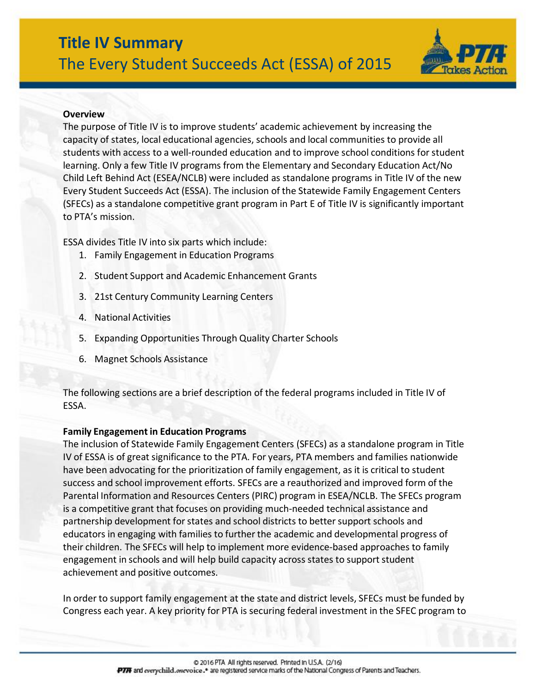

## **Overview**

The purpose of Title IV is to improve students' academic achievement by increasing the capacity of states, local educational agencies, schools and local communities to provide all students with access to a well-rounded education and to improve school conditions forstudent learning. Only a few Title IV programs from the Elementary and Secondary Education Act/No Child Left Behind Act (ESEA/NCLB) were included as standalone programs in Title IV of the new Every Student Succeeds Act (ESSA). The inclusion of the Statewide Family Engagement Centers (SFECs) as a standalone competitive grant program in Part E of Title IV is significantly important to PTA's mission.

ESSA divides Title IV into six parts which include:

- 1. Family Engagement in Education Programs
- 2. Student Support and Academic Enhancement Grants
- 3. 21st Century Community Learning Centers
- 4. National Activities
- 5. Expanding Opportunities Through Quality Charter Schools
- 6. Magnet Schools Assistance

The following sections are a brief description of the federal programs included in Title IV of ESSA.

#### **Family Engagement in Education Programs**

The inclusion of Statewide Family Engagement Centers (SFECs) as a standalone program in Title IV of ESSA is of great significance to the PTA. For years, PTA members and families nationwide have been advocating for the prioritization of family engagement, as it is critical to student success and school improvement efforts. SFECs are a reauthorized and improved form of the Parental Information and Resources Centers (PIRC) program in ESEA/NCLB. The SFECs program is a competitive grant that focuses on providing much-needed technical assistance and partnership development for states and school districts to better support schools and educators in engaging with families to further the academic and developmental progress of their children. The SFECs will help to implement more evidence-based approaches to family engagement in schools and will help build capacity across states to support student achievement and positive outcomes.

In order to support family engagement at the state and district levels, SFECs must be funded by Congress each year. A key priority for PTA is securing federal investment in the SFEC program to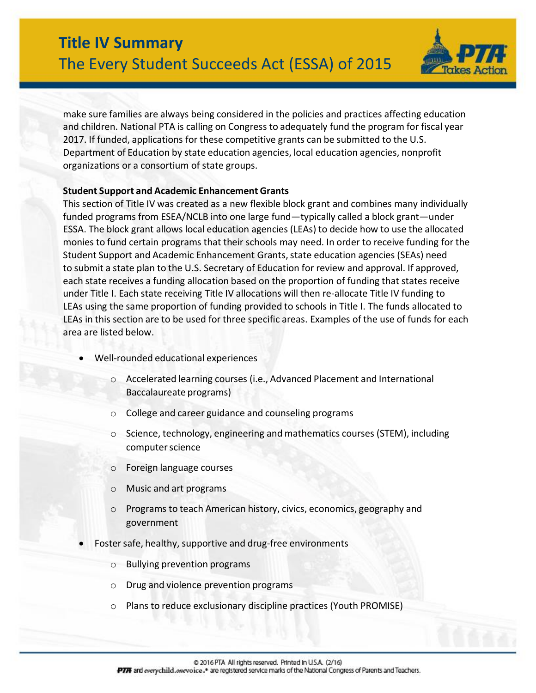

make sure families are always being considered in the policies and practices affecting education and children. National PTA is calling on Congress to adequately fund the program for fiscal year 2017. If funded, applications for these competitive grants can be submitted to the U.S. Department of Education by state education agencies, local education agencies, nonprofit organizations or a consortium of state groups.

#### **Student Support and Academic Enhancement Grants**

This section of Title IV was created as a new flexible block grant and combines many individually funded programs from ESEA/NCLB into one large fund—typically called a block grant—under ESSA. The block grant allows local education agencies (LEAs) to decide how to use the allocated monies to fund certain programs that their schools may need. In order to receive funding for the Student Support and Academic Enhancement Grants, state education agencies (SEAs) need to submit a state plan to the U.S. Secretary of Education for review and approval. If approved, each state receives a funding allocation based on the proportion of funding that states receive under Title I. Each state receiving Title IV allocations will then re-allocate Title IV funding to LEAs using the same proportion of funding provided to schools in Title I. The funds allocated to LEAs in this section are to be used for three specific areas. Examples of the use of funds for each area are listed below.

- Well-rounded educational experiences
	- o Accelerated learning courses (i.e., Advanced Placement and International Baccalaureate programs)
	- o College and career guidance and counseling programs
	- Science, technology, engineering and mathematics courses (STEM), including computer science
	- o Foreign language courses
	- o Music and art programs
	- o Programs to teach American history, civics, economics, geography and government
	- Foster safe, healthy, supportive and drug-free environments
		- o Bullying prevention programs
		- o Drug and violence prevention programs
		- o Plans to reduce exclusionary discipline practices (Youth PROMISE)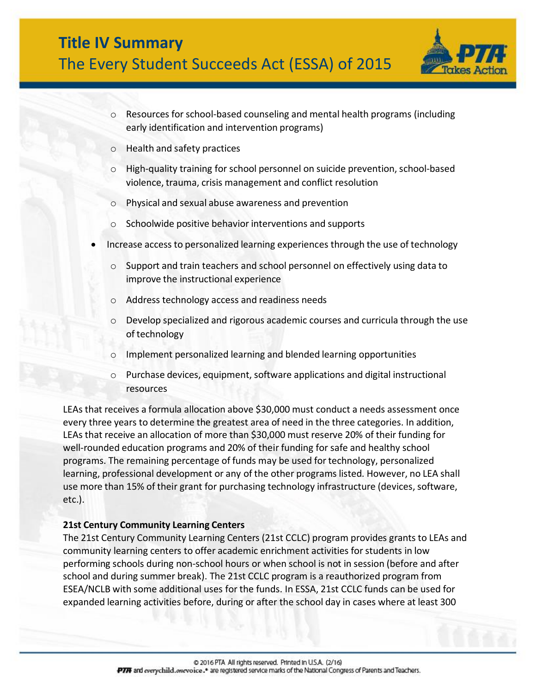

- $\circ$  Resources for school-based counseling and mental health programs (including early identification and intervention programs)
- o Health and safety practices
- o High-quality training for school personnel on suicide prevention, school-based violence, trauma, crisis management and conflict resolution
- o Physical and sexual abuse awareness and prevention
- o Schoolwide positive behavior interventions and supports
- Increase access to personalized learning experiences through the use of technology
	- $\circ$  Support and train teachers and school personnel on effectively using data to improve the instructional experience
	- o Address technology access and readiness needs
	- $\circ$  Develop specialized and rigorous academic courses and curricula through the use of technology
	- o Implement personalized learning and blended learning opportunities
	- o Purchase devices, equipment,software applications and digital instructional resources

LEAs that receives a formula allocation above \$30,000 must conduct a needs assessment once every three years to determine the greatest area of need in the three categories. In addition, LEAs that receive an allocation of more than \$30,000 must reserve 20% of their funding for well-rounded education programs and 20% of their funding for safe and healthy school programs. The remaining percentage of funds may be used fortechnology, personalized learning, professional development or any of the other programs listed. However, no LEA shall use more than 15% of their grant for purchasing technology infrastructure (devices, software, etc.).

#### **21st Century Community Learning Centers**

The 21st Century Community Learning Centers (21st CCLC) program provides grants to LEAs and community learning centers to offer academic enrichment activities forstudents in low performing schools during non-school hours or when school is not in session (before and after school and during summer break). The 21st CCLC program is a reauthorized program from ESEA/NCLB with some additional uses for the funds. In ESSA, 21st CCLC funds can be used for expanded learning activities before, during or after the school day in cases where at least 300